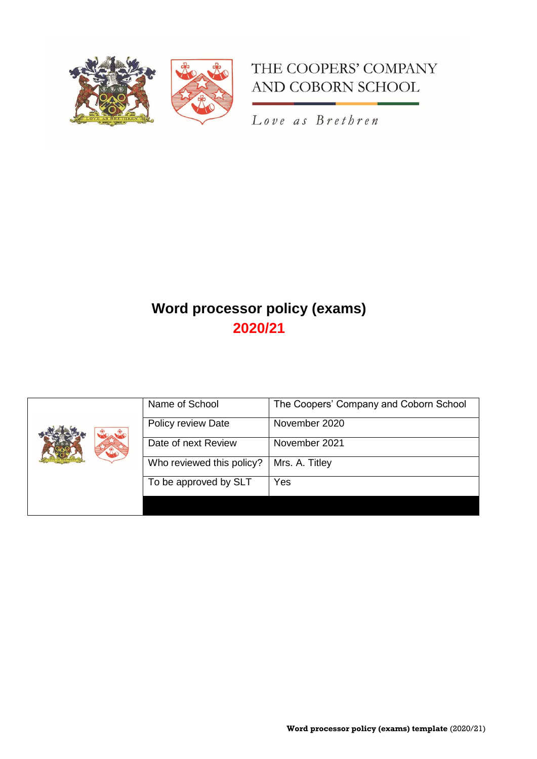



Love as Brethren

# **Word processor policy (exams) 2020/21**

|  | Name of School            | The Coopers' Company and Coborn School |
|--|---------------------------|----------------------------------------|
|  | Policy review Date        | November 2020                          |
|  | Date of next Review       | November 2021                          |
|  | Who reviewed this policy? | Mrs. A. Titley                         |
|  | To be approved by SLT     | Yes                                    |
|  |                           |                                        |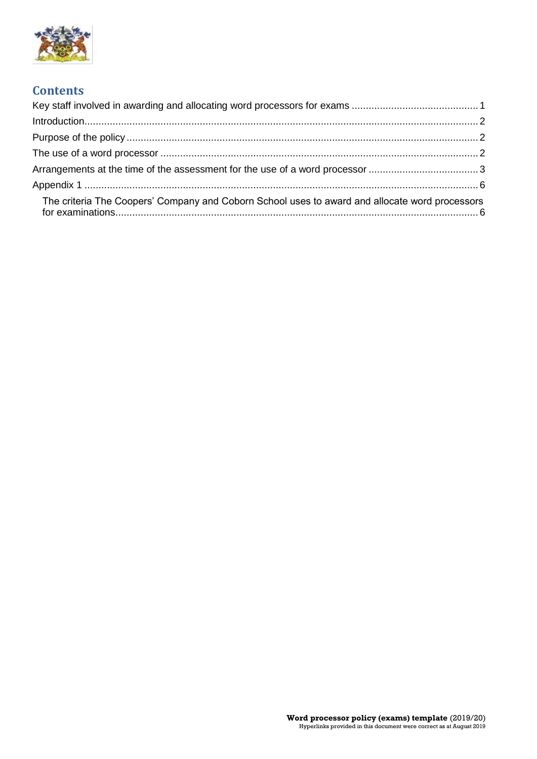

# **Contents**

| The criteria The Coopers' Company and Coborn School uses to award and allocate word processors |  |
|------------------------------------------------------------------------------------------------|--|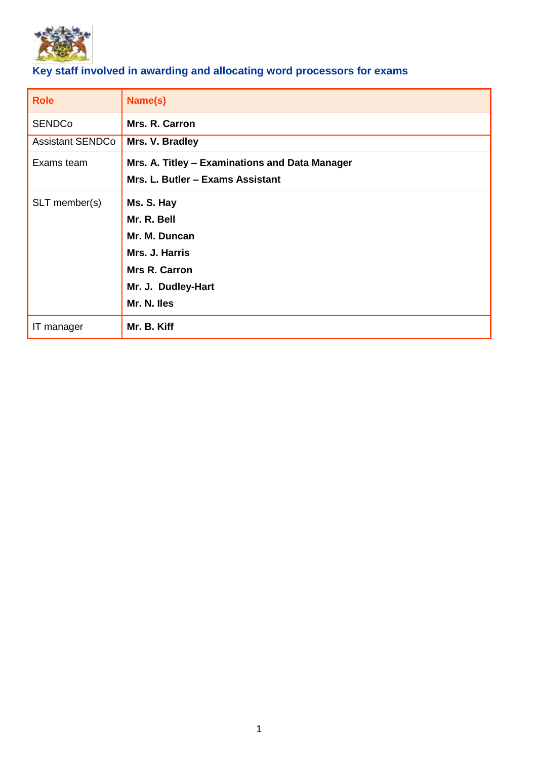

# <span id="page-2-0"></span>**Key staff involved in awarding and allocating word processors for exams**

| <b>Role</b>             | Name(s)                                        |
|-------------------------|------------------------------------------------|
| <b>SENDCo</b>           | Mrs. R. Carron                                 |
| <b>Assistant SENDCo</b> | Mrs. V. Bradley                                |
| Exams team              | Mrs. A. Titley - Examinations and Data Manager |
|                         | Mrs. L. Butler - Exams Assistant               |
| SLT member(s)           | Ms. S. Hay                                     |
|                         | Mr. R. Bell                                    |
|                         | Mr. M. Duncan                                  |
|                         | Mrs. J. Harris                                 |
|                         | <b>Mrs R. Carron</b>                           |
|                         | Mr. J. Dudley-Hart                             |
|                         | Mr. N. Iles                                    |
| IT manager              | Mr. B. Kiff                                    |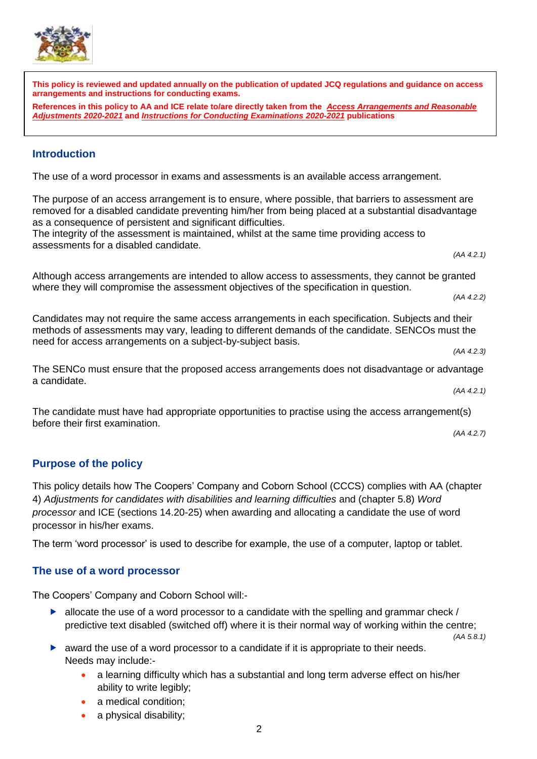

 $\overline{a}$ 

**This policy is reviewed and updated annually on the publication of updated JCQ regulations and guidance on access arrangements and instructions for conducting exams.** 

**References in this policy to AA and ICE relate to/are directly taken from the** *[Access Arrangements and Reasonable](http://www.jcq.org.uk/exams-office/access-arrangements-and-special-consideration/regulations-and-guidance)  [Adjustments 2020-2021](http://www.jcq.org.uk/exams-office/access-arrangements-and-special-consideration/regulations-and-guidance)* **and** *[Instructions for Conducting Examinations](http://www.jcq.org.uk/exams-office/ice---instructions-for-conducting-examinations) 2020-2021* **publications**

## <span id="page-3-0"></span>**Introduction**

The use of a word processor in exams and assessments is an available access arrangement.

The purpose of an access arrangement is to ensure, where possible, that barriers to assessment are removed for a disabled candidate preventing him/her from being placed at a substantial disadvantage as a consequence of persistent and significant difficulties.

The integrity of the assessment is maintained, whilst at the same time providing access to assessments for a disabled candidate.

Although access arrangements are intended to allow access to assessments, they cannot be granted where they will compromise the assessment objectives of the specification in question.

Candidates may not require the same access arrangements in each specification. Subjects and their methods of assessments may vary, leading to different demands of the candidate. SENCOs must the need for access arrangements on a subject-by-subject basis.

The SENCo must ensure that the proposed access arrangements does not disadvantage or advantage a candidate. *(AA 4.2.1)*

The candidate must have had appropriate opportunities to practise using the access arrangement(s) before their first examination.

*(AA 4.2.7)*

*(AA 4.2.1)*

*(AA 4.2.2)*

*(AA 4.2.3)*

# <span id="page-3-1"></span>**Purpose of the policy**

This policy details how The Coopers' Company and Coborn School (CCCS) complies with AA (chapter 4) *Adjustments for candidates with disabilities and learning difficulties* and (chapter 5.8) *Word processor* and ICE (sections 14.20-25) when awarding and allocating a candidate the use of word processor in his/her exams.

The term 'word processor' is used to describe for example, the use of a computer, laptop or tablet.

## <span id="page-3-2"></span>**The use of a word processor**

The Coopers' Company and Coborn School will:-

 $\blacktriangleright$  allocate the use of a word processor to a candidate with the spelling and grammar check / predictive text disabled (switched off) where it is their normal way of working within the centre;

*(AA 5.8.1)*

- $\triangleright$  award the use of a word processor to a candidate if it is appropriate to their needs. Needs may include:
	- a learning difficulty which has a substantial and long term adverse effect on his/her ability to write legibly;
	- a medical condition;
	- a physical disability;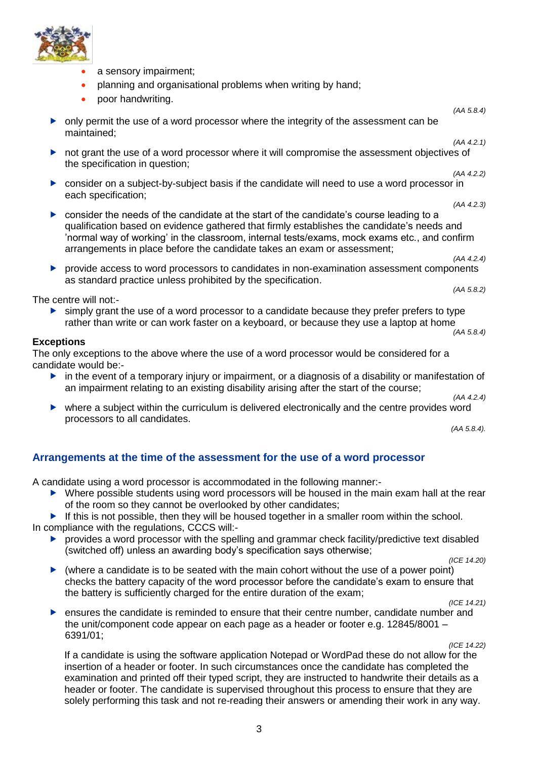

- a sensory impairment;
- planning and organisational problems when writing by hand;
- poor handwriting.

 only permit the use of a word processor where the integrity of the assessment can be maintained;

*(AA 4.2.1)*

*(AA 4.2.3)*

*(AA 5.8.4)*

- not grant the use of a word processor where it will compromise the assessment objectives of the specification in question; *(AA 4.2.2)*
- consider on a subject-by-subject basis if the candidate will need to use a word processor in each specification;
- consider the needs of the candidate at the start of the candidate's course leading to a qualification based on evidence gathered that firmly establishes the candidate's needs and 'normal way of working' in the classroom, internal tests/exams, mock exams etc., and confirm arrangements in place before the candidate takes an exam or assessment;

*(AA 4.2.4)*

*(AA 5.8.2)* 

 provide access to word processors to candidates in non-examination assessment components as standard practice unless prohibited by the specification.

The centre will not:-

 $\triangleright$  simply grant the use of a word processor to a candidate because they prefer prefers to type rather than write or can work faster on a keyboard, or because they use a laptop at home *(AA 5.8.4)* 

#### **Exceptions**

The only exceptions to the above where the use of a word processor would be considered for a candidate would be:-

 $\blacktriangleright$  in the event of a temporary injury or impairment, or a diagnosis of a disability or manifestation of an impairment relating to an existing disability arising after the start of the course;

*(AA 4.2.4)*

 where a subject within the curriculum is delivered electronically and the centre provides word processors to all candidates.

*(AA 5.8.4).*

### <span id="page-4-0"></span>**Arrangements at the time of the assessment for the use of a word processor**

A candidate using a word processor is accommodated in the following manner:-

 Where possible students using word processors will be housed in the main exam hall at the rear of the room so they cannot be overlooked by other candidates;

If this is not possible, then they will be housed together in a smaller room within the school. In compliance with the regulations, CCCS will:-

 $\triangleright$  provides a word processor with the spelling and grammar check facility/predictive text disabled (switched off) unless an awarding body's specification says otherwise;

*(ICE 14.20)*

 $\triangleright$  (where a candidate is to be seated with the main cohort without the use of a power point) checks the battery capacity of the word processor before the candidate's exam to ensure that the battery is sufficiently charged for the entire duration of the exam;

*(ICE 14.21)*

 ensures the candidate is reminded to ensure that their centre number, candidate number and the unit/component code appear on each page as a header or footer e.g. 12845/8001 – 6391/01;

*(ICE 14.22)*

If a candidate is using the software application Notepad or WordPad these do not allow for the insertion of a header or footer. In such circumstances once the candidate has completed the examination and printed off their typed script, they are instructed to handwrite their details as a header or footer. The candidate is supervised throughout this process to ensure that they are solely performing this task and not re-reading their answers or amending their work in any way.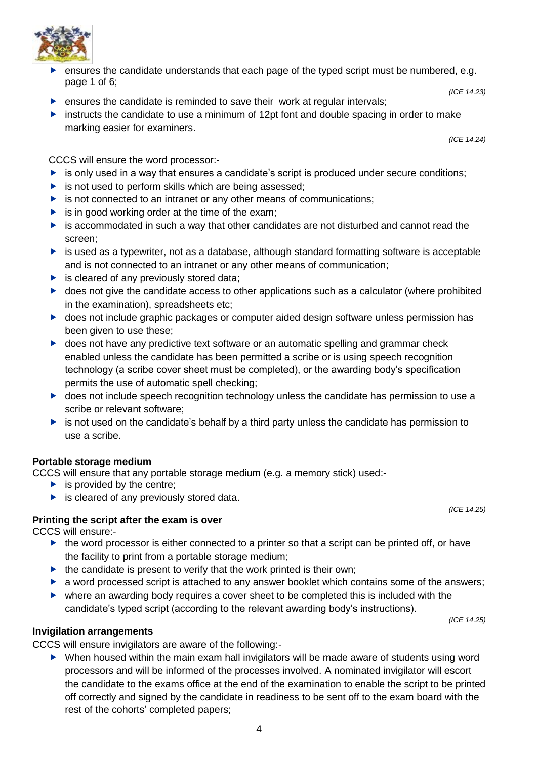

- ensures the candidate understands that each page of the typed script must be numbered, e.g. page 1 of 6; *(ICE 14.23)*
- $\blacktriangleright$  ensures the candidate is reminded to save their work at regular intervals;
- instructs the candidate to use a minimum of 12pt font and double spacing in order to make marking easier for examiners.

*(ICE 14.24)*

CCCS will ensure the word processor:-

- $\triangleright$  is only used in a way that ensures a candidate's script is produced under secure conditions;
- $\triangleright$  is not used to perform skills which are being assessed;
- $\triangleright$  is not connected to an intranet or any other means of communications;
- $\triangleright$  is in good working order at the time of the exam:
- is accommodated in such a way that other candidates are not disturbed and cannot read the screen;
- $\blacktriangleright$  is used as a typewriter, not as a database, although standard formatting software is acceptable and is not connected to an intranet or any other means of communication;
- $\triangleright$  is cleared of any previously stored data;
- $\triangleright$  does not give the candidate access to other applications such as a calculator (where prohibited in the examination), spreadsheets etc;
- ▶ does not include graphic packages or computer aided design software unless permission has been given to use these;
- ▶ does not have any predictive text software or an automatic spelling and grammar check enabled unless the candidate has been permitted a scribe or is using speech recognition technology (a scribe cover sheet must be completed), or the awarding body's specification permits the use of automatic spell checking;
- **b** does not include speech recognition technology unless the candidate has permission to use a scribe or relevant software;
- $\triangleright$  is not used on the candidate's behalf by a third party unless the candidate has permission to use a scribe.

### **Portable storage medium**

CCCS will ensure that any portable storage medium (e.g. a memory stick) used:-

- $\blacktriangleright$  is provided by the centre;
- $\blacktriangleright$  is cleared of any previously stored data.

### **Printing the script after the exam is over**

CCCS will ensure:-

- $\triangleright$  the word processor is either connected to a printer so that a script can be printed off, or have the facility to print from a portable storage medium;
- $\blacktriangleright$  the candidate is present to verify that the work printed is their own;
- **a** word processed script is attached to any answer booklet which contains some of the answers;
- where an awarding body requires a cover sheet to be completed this is included with the candidate's typed script (according to the relevant awarding body's instructions).

*(ICE 14.25)*

*(ICE 14.25)*

#### **Invigilation arrangements**

CCCS will ensure invigilators are aware of the following:-

 When housed within the main exam hall invigilators will be made aware of students using word processors and will be informed of the processes involved. A nominated invigilator will escort the candidate to the exams office at the end of the examination to enable the script to be printed off correctly and signed by the candidate in readiness to be sent off to the exam board with the rest of the cohorts' completed papers;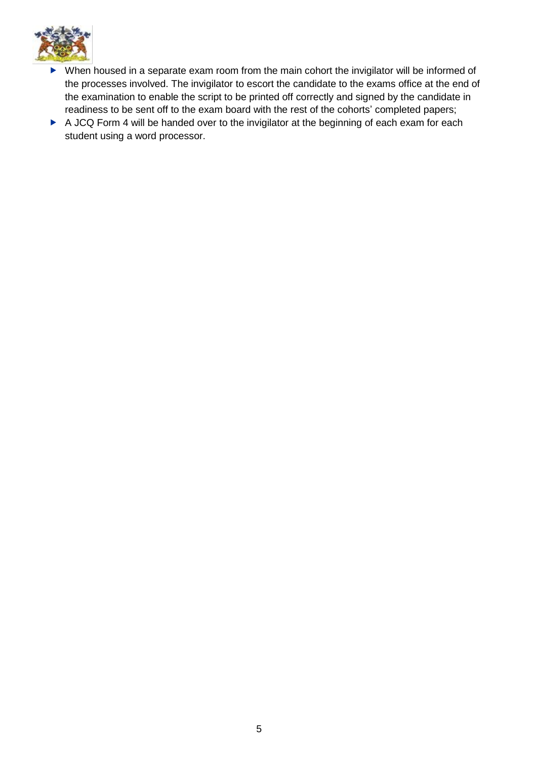

- When housed in a separate exam room from the main cohort the invigilator will be informed of the processes involved. The invigilator to escort the candidate to the exams office at the end of the examination to enable the script to be printed off correctly and signed by the candidate in readiness to be sent off to the exam board with the rest of the cohorts' completed papers;
- A JCQ Form 4 will be handed over to the invigilator at the beginning of each exam for each student using a word processor.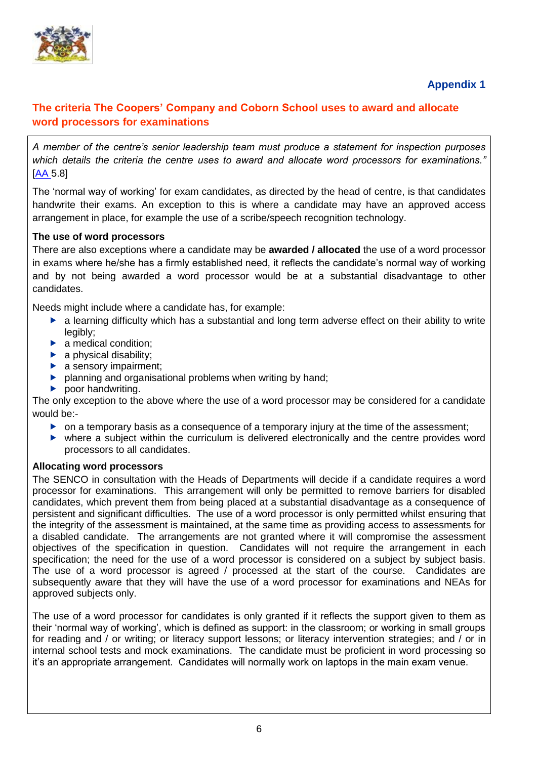

# **Appendix 1**

## <span id="page-7-1"></span><span id="page-7-0"></span>**The criteria The Coopers' Company and Coborn School uses to award and allocate word processors for examinations**

*A member of the centre's senior leadership team must produce a statement for inspection purposes which details the criteria the centre uses to award and allocate word processors for examinations."*  [\[AA](http://www.jcq.org.uk/exams-office/access-arrangements-and-special-consideration) 5.8]

The 'normal way of working' for exam candidates, as directed by the head of centre, is that candidates handwrite their exams. An exception to this is where a candidate may have an approved access arrangement in place, for example the use of a scribe/speech recognition technology.

#### **The use of word processors**

There are also exceptions where a candidate may be **awarded / allocated** the use of a word processor in exams where he/she has a firmly established need, it reflects the candidate's normal way of working and by not being awarded a word processor would be at a substantial disadvantage to other candidates.

Needs might include where a candidate has, for example:

- **a** learning difficulty which has a substantial and long term adverse effect on their ability to write legibly:
- $\blacktriangleright$  a medical condition:
- $\blacktriangleright$  a physical disability;
- $\blacktriangleright$  a sensory impairment;
- **P** planning and organisational problems when writing by hand;
- $\blacktriangleright$  poor handwriting.

The only exception to the above where the use of a word processor may be considered for a candidate would be:-

- $\triangleright$  on a temporary basis as a consequence of a temporary injury at the time of the assessment;
- where a subject within the curriculum is delivered electronically and the centre provides word processors to all candidates.

#### **Allocating word processors**

The SENCO in consultation with the Heads of Departments will decide if a candidate requires a word processor for examinations. This arrangement will only be permitted to remove barriers for disabled candidates, which prevent them from being placed at a substantial disadvantage as a consequence of persistent and significant difficulties. The use of a word processor is only permitted whilst ensuring that the integrity of the assessment is maintained, at the same time as providing access to assessments for a disabled candidate. The arrangements are not granted where it will compromise the assessment objectives of the specification in question. Candidates will not require the arrangement in each specification; the need for the use of a word processor is considered on a subject by subject basis. The use of a word processor is agreed / processed at the start of the course. Candidates are subsequently aware that they will have the use of a word processor for examinations and NEAs for approved subjects only.

The use of a word processor for candidates is only granted if it reflects the support given to them as their 'normal way of working', which is defined as support: in the classroom; or working in small groups for reading and / or writing; or literacy support lessons; or literacy intervention strategies; and / or in internal school tests and mock examinations. The candidate must be proficient in word processing so it's an appropriate arrangement. Candidates will normally work on laptops in the main exam venue.